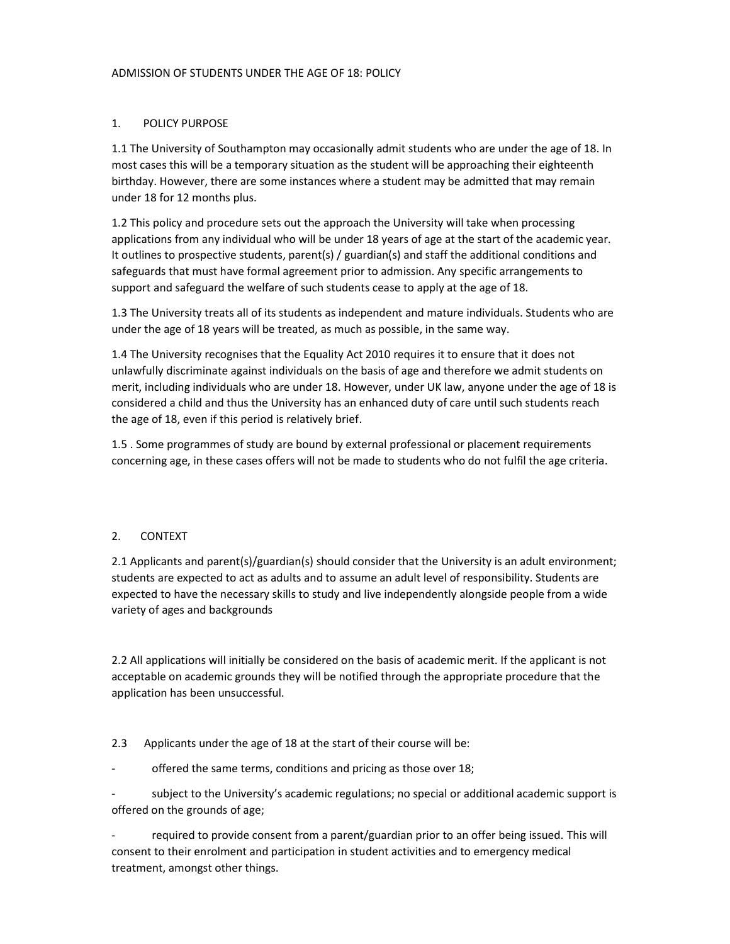#### 1. POLICY PURPOSE

1.1 The University of Southampton may occasionally admit students who are under the age of 18. In most cases this will be a temporary situation as the student will be approaching their eighteenth birthday. However, there are some instances where a student may be admitted that may remain under 18 for 12 months plus.

1.2 This policy and procedure sets out the approach the University will take when processing applications from any individual who will be under 18 years of age at the start of the academic year. It outlines to prospective students, parent(s) / guardian(s) and staff the additional conditions and safeguards that must have formal agreement prior to admission. Any specific arrangements to support and safeguard the welfare of such students cease to apply at the age of 18.

1.3 The University treats all of its students as independent and mature individuals. Students who are under the age of 18 years will be treated, as much as possible, in the same way.

1.4 The University recognises that the Equality Act 2010 requires it to ensure that it does not unlawfully discriminate against individuals on the basis of age and therefore we admit students on merit, including individuals who are under 18. However, under UK law, anyone under the age of 18 is considered a child and thus the University has an enhanced duty of care until such students reach the age of 18, even if this period is relatively brief.

1.5 . Some programmes of study are bound by external professional or placement requirements concerning age, in these cases offers will not be made to students who do not fulfil the age criteria.

#### 2. CONTEXT

2.1 Applicants and parent(s)/guardian(s) should consider that the University is an adult environment; students are expected to act as adults and to assume an adult level of responsibility. Students are expected to have the necessary skills to study and live independently alongside people from a wide variety of ages and backgrounds

2.2 All applications will initially be considered on the basis of academic merit. If the applicant is not acceptable on academic grounds they will be notified through the appropriate procedure that the application has been unsuccessful.

2.3 Applicants under the age of 18 at the start of their course will be:

offered the same terms, conditions and pricing as those over 18;

subject to the University's academic regulations; no special or additional academic support is offered on the grounds of age;

required to provide consent from a parent/guardian prior to an offer being issued. This will consent to their enrolment and participation in student activities and to emergency medical treatment, amongst other things.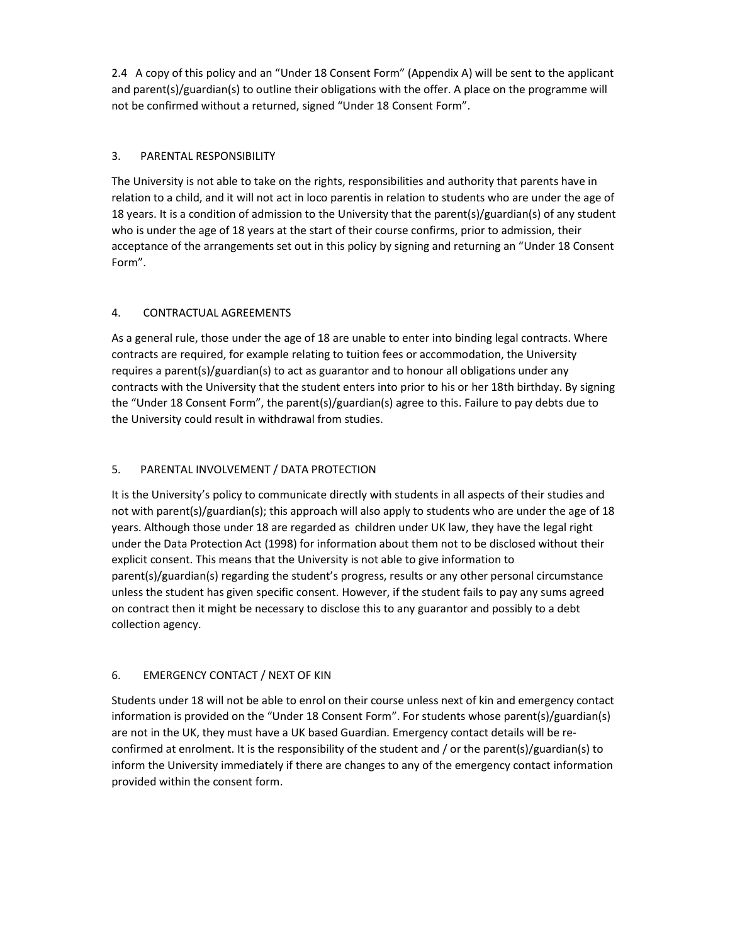2.4 A copy of this policy and an "Under 18 Consent Form" (Appendix A) will be sent to the applicant and parent(s)/guardian(s) to outline their obligations with the offer. A place on the programme will not be confirmed without a returned, signed "Under 18 Consent Form".

## 3. PARENTAL RESPONSIBILITY

The University is not able to take on the rights, responsibilities and authority that parents have in relation to a child, and it will not act in loco parentis in relation to students who are under the age of 18 years. It is a condition of admission to the University that the parent(s)/guardian(s) of any student who is under the age of 18 years at the start of their course confirms, prior to admission, their acceptance of the arrangements set out in this policy by signing and returning an "Under 18 Consent Form".

#### 4. CONTRACTUAL AGREEMENTS

As a general rule, those under the age of 18 are unable to enter into binding legal contracts. Where contracts are required, for example relating to tuition fees or accommodation, the University requires a parent(s)/guardian(s) to act as guarantor and to honour all obligations under any contracts with the University that the student enters into prior to his or her 18th birthday. By signing the "Under 18 Consent Form", the parent(s)/guardian(s) agree to this. Failure to pay debts due to the University could result in withdrawal from studies.

#### 5. PARENTAL INVOLVEMENT / DATA PROTECTION

It is the University's policy to communicate directly with students in all aspects of their studies and not with parent(s)/guardian(s); this approach will also apply to students who are under the age of 18 years. Although those under 18 are regarded as children under UK law, they have the legal right under the Data Protection Act (1998) for information about them not to be disclosed without their explicit consent. This means that the University is not able to give information to parent(s)/guardian(s) regarding the student's progress, results or any other personal circumstance unless the student has given specific consent. However, if the student fails to pay any sums agreed on contract then it might be necessary to disclose this to any guarantor and possibly to a debt collection agency.

## 6. EMERGENCY CONTACT / NEXT OF KIN

Students under 18 will not be able to enrol on their course unless next of kin and emergency contact information is provided on the "Under 18 Consent Form". For students whose parent(s)/guardian(s) are not in the UK, they must have a UK based Guardian. Emergency contact details will be reconfirmed at enrolment. It is the responsibility of the student and / or the parent(s)/guardian(s) to inform the University immediately if there are changes to any of the emergency contact information provided within the consent form.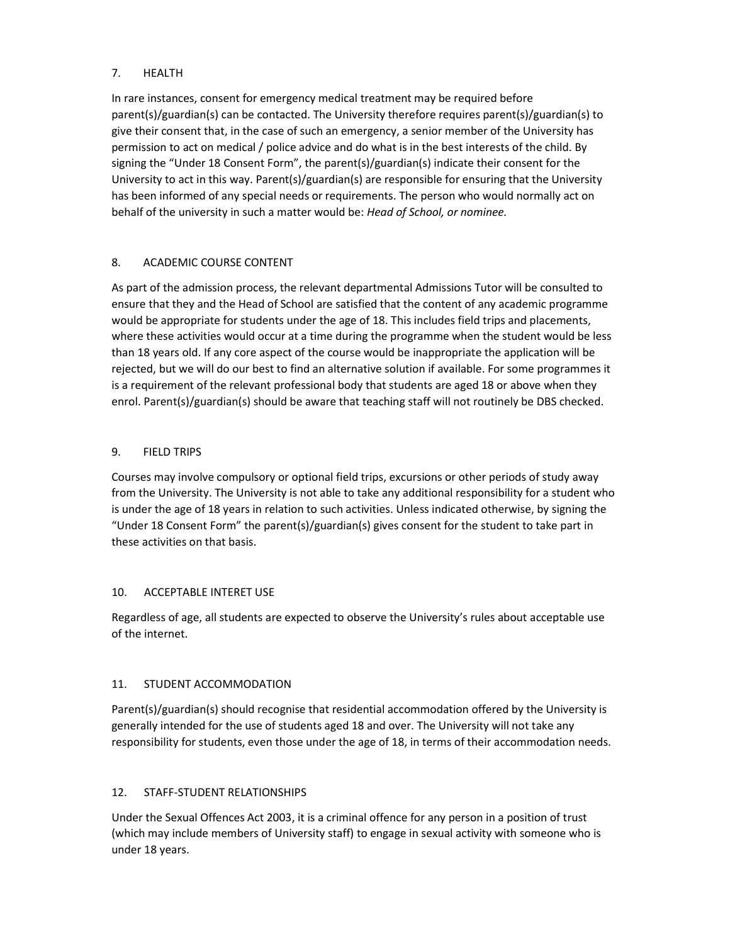#### 7. HEALTH

In rare instances, consent for emergency medical treatment may be required before parent(s)/guardian(s) can be contacted. The University therefore requires parent(s)/guardian(s) to give their consent that, in the case of such an emergency, a senior member of the University has permission to act on medical / police advice and do what is in the best interests of the child. By signing the "Under 18 Consent Form", the parent(s)/guardian(s) indicate their consent for the University to act in this way. Parent(s)/guardian(s) are responsible for ensuring that the University has been informed of any special needs or requirements. The person who would normally act on behalf of the university in such a matter would be: Head of School, or nominee.

# 8. ACADEMIC COURSE CONTENT

As part of the admission process, the relevant departmental Admissions Tutor will be consulted to ensure that they and the Head of School are satisfied that the content of any academic programme would be appropriate for students under the age of 18. This includes field trips and placements, where these activities would occur at a time during the programme when the student would be less than 18 years old. If any core aspect of the course would be inappropriate the application will be rejected, but we will do our best to find an alternative solution if available. For some programmes it is a requirement of the relevant professional body that students are aged 18 or above when they enrol. Parent(s)/guardian(s) should be aware that teaching staff will not routinely be DBS checked.

## 9. FIELD TRIPS

Courses may involve compulsory or optional field trips, excursions or other periods of study away from the University. The University is not able to take any additional responsibility for a student who is under the age of 18 years in relation to such activities. Unless indicated otherwise, by signing the "Under 18 Consent Form" the parent(s)/guardian(s) gives consent for the student to take part in these activities on that basis.

## 10. ACCEPTABLE INTERET USE

Regardless of age, all students are expected to observe the University's rules about acceptable use of the internet.

## 11. STUDENT ACCOMMODATION

Parent(s)/guardian(s) should recognise that residential accommodation offered by the University is generally intended for the use of students aged 18 and over. The University will not take any responsibility for students, even those under the age of 18, in terms of their accommodation needs.

## 12. STAFF-STUDENT RELATIONSHIPS

Under the Sexual Offences Act 2003, it is a criminal offence for any person in a position of trust (which may include members of University staff) to engage in sexual activity with someone who is under 18 years.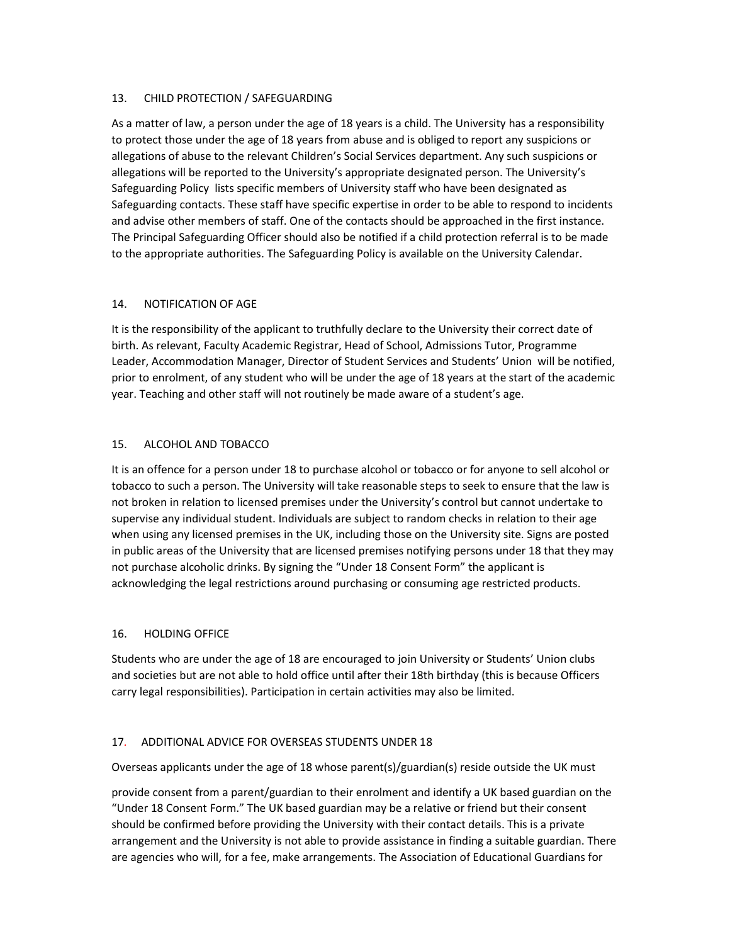#### 13. CHILD PROTECTION / SAFEGUARDING

As a matter of law, a person under the age of 18 years is a child. The University has a responsibility to protect those under the age of 18 years from abuse and is obliged to report any suspicions or allegations of abuse to the relevant Children's Social Services department. Any such suspicions or allegations will be reported to the University's appropriate designated person. The University's Safeguarding Policy lists specific members of University staff who have been designated as Safeguarding contacts. These staff have specific expertise in order to be able to respond to incidents and advise other members of staff. One of the contacts should be approached in the first instance. The Principal Safeguarding Officer should also be notified if a child protection referral is to be made to the appropriate authorities. The Safeguarding Policy is available on the University Calendar.

#### 14. NOTIFICATION OF AGE

It is the responsibility of the applicant to truthfully declare to the University their correct date of birth. As relevant, Faculty Academic Registrar, Head of School, Admissions Tutor, Programme Leader, Accommodation Manager, Director of Student Services and Students' Union will be notified, prior to enrolment, of any student who will be under the age of 18 years at the start of the academic year. Teaching and other staff will not routinely be made aware of a student's age.

#### 15. ALCOHOL AND TOBACCO

It is an offence for a person under 18 to purchase alcohol or tobacco or for anyone to sell alcohol or tobacco to such a person. The University will take reasonable steps to seek to ensure that the law is not broken in relation to licensed premises under the University's control but cannot undertake to supervise any individual student. Individuals are subject to random checks in relation to their age when using any licensed premises in the UK, including those on the University site. Signs are posted in public areas of the University that are licensed premises notifying persons under 18 that they may not purchase alcoholic drinks. By signing the "Under 18 Consent Form" the applicant is acknowledging the legal restrictions around purchasing or consuming age restricted products.

## 16. HOLDING OFFICE

Students who are under the age of 18 are encouraged to join University or Students' Union clubs and societies but are not able to hold office until after their 18th birthday (this is because Officers carry legal responsibilities). Participation in certain activities may also be limited.

## 17. ADDITIONAL ADVICE FOR OVERSEAS STUDENTS UNDER 18

Overseas applicants under the age of 18 whose parent(s)/guardian(s) reside outside the UK must

provide consent from a parent/guardian to their enrolment and identify a UK based guardian on the "Under 18 Consent Form." The UK based guardian may be a relative or friend but their consent should be confirmed before providing the University with their contact details. This is a private arrangement and the University is not able to provide assistance in finding a suitable guardian. There are agencies who will, for a fee, make arrangements. The Association of Educational Guardians for